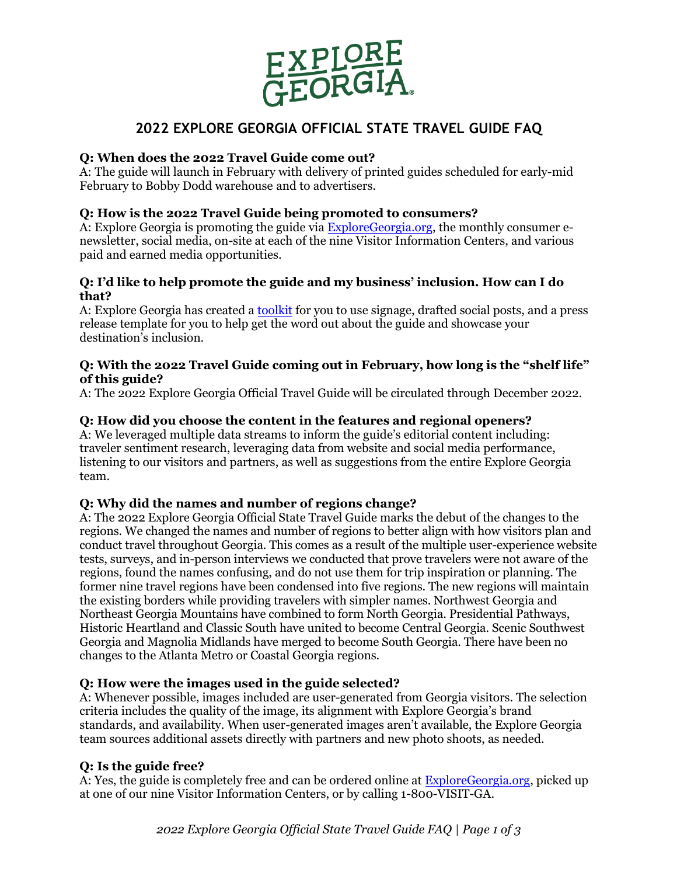

# **2022 EXPLORE GEORGIA OFFICIAL STATE TRAVEL GUIDE FAQ**

## **Q: When does the 2022 Travel Guide come out?**

A: The guide will launch in February with delivery of printed guides scheduled for early-mid February to Bobby Dodd warehouse and to advertisers.

## **Q: How is the 2022 Travel Guide being promoted to consumers?**

A: Explore Georgia is promoting the guide vi[a ExploreGeorgia.org,](http://exploregeorgia.org/) the monthly consumer enewsletter, social media, on-site at each of the nine Visitor Information Centers, and various paid and earned media opportunities.

### **Q: I'd like to help promote the guide and my business' inclusion. How can I do that?**

A: Explore Georgia has created a [toolkit](https://industry.exploregeorgia.org/2022-explore-georgia-official-travel-guide-partner-toolkit) for you to use signage, drafted social posts, and a press release template for you to help get the word out about the guide and showcase your destination's inclusion.

#### **Q: With the 2022 Travel Guide coming out in February, how long is the "shelf life" of this guide?**

A: The 2022 Explore Georgia Official Travel Guide will be circulated through December 2022.

## **Q: How did you choose the content in the features and regional openers?**

A: We leveraged multiple data streams to inform the guide's editorial content including: traveler sentiment research, leveraging data from website and social media performance, listening to our visitors and partners, as well as suggestions from the entire Explore Georgia team.

## **Q: Why did the names and number of regions change?**

A: The 2022 Explore Georgia Official State Travel Guide marks the debut of the changes to the regions. We changed the names and number of regions to better align with how visitors plan and conduct travel throughout Georgia. This comes as a result of the multiple user-experience website tests, surveys, and in-person interviews we conducted that prove travelers were not aware of the regions, found the names confusing, and do not use them for trip inspiration or planning. The former nine travel regions have been condensed into five regions. The new regions will maintain the existing borders while providing travelers with simpler names. Northwest Georgia and Northeast Georgia Mountains have combined to form North Georgia. Presidential Pathways, Historic Heartland and Classic South have united to become Central Georgia. Scenic Southwest Georgia and Magnolia Midlands have merged to become South Georgia. There have been no changes to the Atlanta Metro or Coastal Georgia regions.

### **Q: How were the images used in the guide selected?**

A: Whenever possible, images included are user-generated from Georgia visitors. The selection criteria includes the quality of the image, its alignment with Explore Georgia's brand standards, and availability. When user-generated images aren't available, the Explore Georgia team sources additional assets directly with partners and new photo shoots, as needed.

### **Q: Is the guide free?**

A: Yes, the guide is completely free and can be ordered online at [ExploreGeorgia.org,](http://exploregeorgia.org/) picked up at one of our nine Visitor Information Centers, or by calling 1-800-VISIT-GA.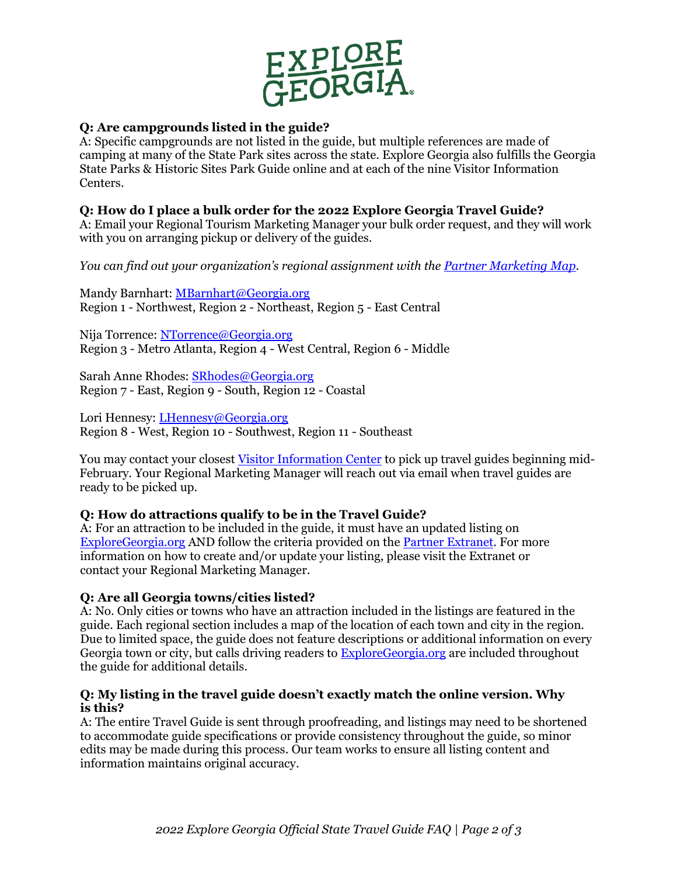

## **Q: Are campgrounds listed in the guide?**

A: Specific campgrounds are not listed in the guide, but multiple references are made of camping at many of the State Park sites across the state. Explore Georgia also fulfills the Georgia State Parks & Historic Sites Park Guide online and at each of the nine Visitor Information Centers.

## **Q: How do I place a bulk order for the 2022 Explore Georgia Travel Guide?**

A: Email your Regional Tourism Marketing Manager your bulk order request, and they will work with you on arranging pickup or delivery of the guides.

*You can find out your organization's regional assignment with the [Partner Marketing Map.](https://industry.exploregeorgia.org/sites/default/files/2021-03/Regional-Services-Map-032021.pdf)* 

Mandy [Barnhart:](ftp://Barnhart:_MBarnhart@georgia.org/) [MBarnhart@Georgia.org](mailto:MBarnhart@Georgia.org) Region 1 - Northwest, Region 2 - Northeast, Region 5 - East Central

Nija [Torrence:](ftp://Torrence:_NTorrence@georgia.org/) [NTorrence@Georgia.org](mailto:NTorrence@Georgia.org) Region 3 - Metro Atlanta, Region 4 - West Central, Region 6 - Middle

Sarah Anne [Rhodes:](ftp://Rhodes:_SSteadman@georgia.org/) [SRhodes@Georgia.org](mailto:SRhodes@Georgia.org) Region 7 - East, Region 9 - South, Region 12 - Coastal

Lori Hennesy: [LHennesy@Georgia.org](mailto:LHennesy@Georgia.org)  Region 8 - West, Region 10 - Southwest, Region 11 - Southeast

You may contact your closest [Visitor Information Center](https://www.exploregeorgia.org/georgia-welcome-centers) to pick up travel guides beginning mid-February. Your Regional Marketing Manager will reach out via email when travel guides are ready to be picked up.

## **Q: How do attractions qualify to be in the Travel Guide?**

A: For an attraction to be included in the guide, it must have an updated listing on [ExploreGeorgia.org](http://exploregeorgia.org/) AND follow the criteria provided on th[e Partner Extranet.](https://industry.exploregeorgia.org/brand-content-studio/partner-extranet) For more information on how to create and/or update your listing, please visit the Extranet or contact your Regional Marketing Manager.

### **Q: Are all Georgia towns/cities listed?**

A: No. Only cities or towns who have an attraction included in the listings are featured in the guide. Each regional section includes a map of the location of each town and city in the region. Due to limited space, the guide does not feature descriptions or additional information on every Georgia town or city, but calls driving readers to [ExploreGeorgia.org](http://exploregeorgia.org/) are included throughout the guide for additional details.

### **Q: My listing in the travel guide doesn't exactly match the online version. Why is this?**

A: The entire Travel Guide is sent through proofreading, and listings may need to be shortened to accommodate guide specifications or provide consistency throughout the guide, so minor edits may be made during this process. Our team works to ensure all listing content and information maintains original accuracy.